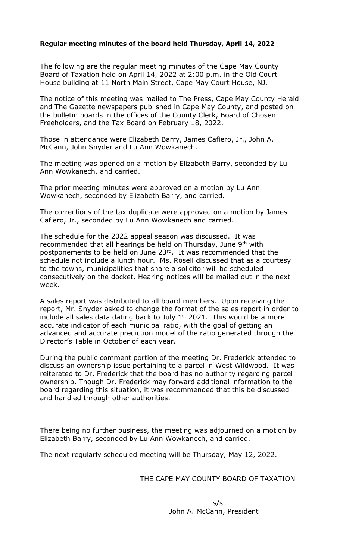## **Regular meeting minutes of the board held Thursday, April 14, 2022**

The following are the regular meeting minutes of the Cape May County Board of Taxation held on April 14, 2022 at 2:00 p.m. in the Old Court House building at 11 North Main Street, Cape May Court House, NJ.

The notice of this meeting was mailed to The Press, Cape May County Herald and The Gazette newspapers published in Cape May County, and posted on the bulletin boards in the offices of the County Clerk, Board of Chosen Freeholders, and the Tax Board on February 18, 2022.

Those in attendance were Elizabeth Barry, James Cafiero, Jr., John A. McCann, John Snyder and Lu Ann Wowkanech.

The meeting was opened on a motion by Elizabeth Barry, seconded by Lu Ann Wowkanech, and carried.

The prior meeting minutes were approved on a motion by Lu Ann Wowkanech, seconded by Elizabeth Barry, and carried.

The corrections of the tax duplicate were approved on a motion by James Cafiero, Jr., seconded by Lu Ann Wowkanech and carried.

The schedule for the 2022 appeal season was discussed. It was recommended that all hearings be held on Thursday, June 9<sup>th</sup> with postponements to be held on June 23rd. It was recommended that the schedule not include a lunch hour. Ms. Rosell discussed that as a courtesy to the towns, municipalities that share a solicitor will be scheduled consecutively on the docket. Hearing notices will be mailed out in the next week.

A sales report was distributed to all board members. Upon receiving the report, Mr. Snyder asked to change the format of the sales report in order to include all sales data dating back to July  $1<sup>st</sup>$  2021. This would be a more accurate indicator of each municipal ratio, with the goal of getting an advanced and accurate prediction model of the ratio generated through the Director's Table in October of each year.

During the public comment portion of the meeting Dr. Frederick attended to discuss an ownership issue pertaining to a parcel in West Wildwood. It was reiterated to Dr. Frederick that the board has no authority regarding parcel ownership. Though Dr. Frederick may forward additional information to the board regarding this situation, it was recommended that this be discussed and handled through other authorities.

There being no further business, the meeting was adjourned on a motion by Elizabeth Barry, seconded by Lu Ann Wowkanech, and carried.

The next regularly scheduled meeting will be Thursday, May 12, 2022.

THE CAPE MAY COUNTY BOARD OF TAXATION

 $\frac{s}{s}$ John A. McCann, President